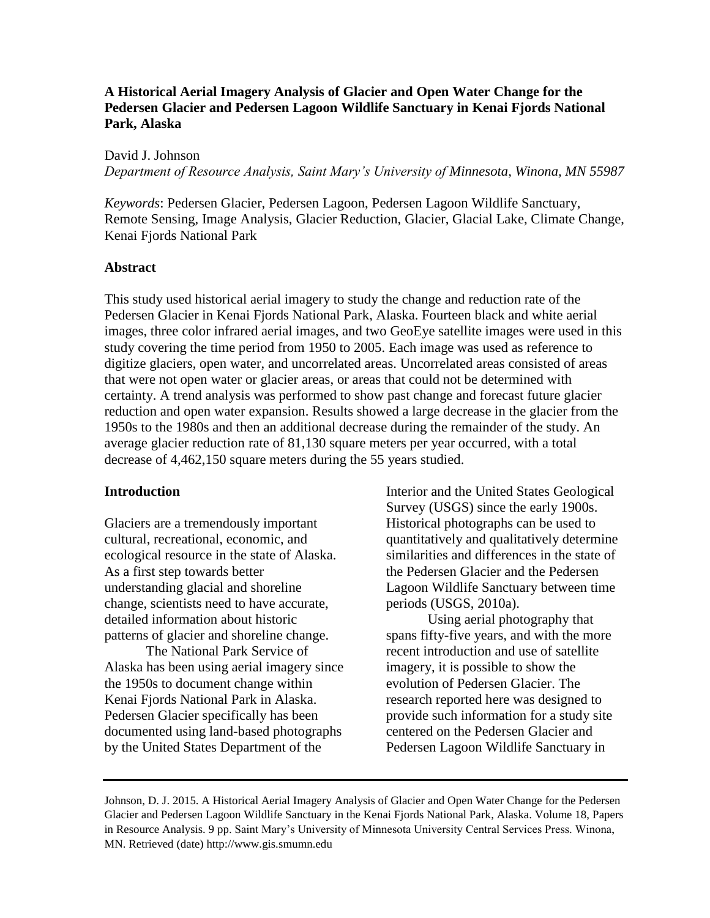# **A Historical Aerial Imagery Analysis of Glacier and Open Water Change for the Pedersen Glacier and Pedersen Lagoon Wildlife Sanctuary in Kenai Fjords National Park, Alaska**

David J. Johnson *Department of Resource Analysis, Saint Mary's University of Minnesota, Winona, MN 55987*

*Keywords*: Pedersen Glacier, Pedersen Lagoon, Pedersen Lagoon Wildlife Sanctuary, Remote Sensing, Image Analysis, Glacier Reduction, Glacier, Glacial Lake, Climate Change, Kenai Fjords National Park

# **Abstract**

This study used historical aerial imagery to study the change and reduction rate of the Pedersen Glacier in Kenai Fjords National Park, Alaska. Fourteen black and white aerial images, three color infrared aerial images, and two GeoEye satellite images were used in this study covering the time period from 1950 to 2005. Each image was used as reference to digitize glaciers, open water, and uncorrelated areas. Uncorrelated areas consisted of areas that were not open water or glacier areas, or areas that could not be determined with certainty. A trend analysis was performed to show past change and forecast future glacier reduction and open water expansion. Results showed a large decrease in the glacier from the 1950s to the 1980s and then an additional decrease during the remainder of the study. An average glacier reduction rate of 81,130 square meters per year occurred, with a total decrease of 4,462,150 square meters during the 55 years studied.

# **Introduction**

Glaciers are a tremendously important cultural, recreational, economic, and ecological resource in the state of Alaska. As a first step towards better understanding glacial and shoreline change, scientists need to have accurate, detailed information about historic patterns of glacier and shoreline change.

The National Park Service of Alaska has been using aerial imagery since the 1950s to document change within Kenai Fjords National Park in Alaska. Pedersen Glacier specifically has been documented using land-based photographs by the United States Department of the

Interior and the United States Geological Survey (USGS) since the early 1900s. Historical photographs can be used to quantitatively and qualitatively determine similarities and differences in the state of the Pedersen Glacier and the Pedersen Lagoon Wildlife Sanctuary between time periods (USGS, 2010a).

Using aerial photography that spans fifty-five years, and with the more recent introduction and use of satellite imagery, it is possible to show the evolution of Pedersen Glacier. The research reported here was designed to provide such information for a study site centered on the Pedersen Glacier and Pedersen Lagoon Wildlife Sanctuary in

Johnson, D. J. 2015. A Historical Aerial Imagery Analysis of Glacier and Open Water Change for the Pedersen Glacier and Pedersen Lagoon Wildlife Sanctuary in the Kenai Fjords National Park, Alaska. Volume 18, Papers in Resource Analysis. 9 pp. Saint Mary's University of Minnesota University Central Services Press. Winona, MN. Retrieved (date) http://www.gis.smumn.edu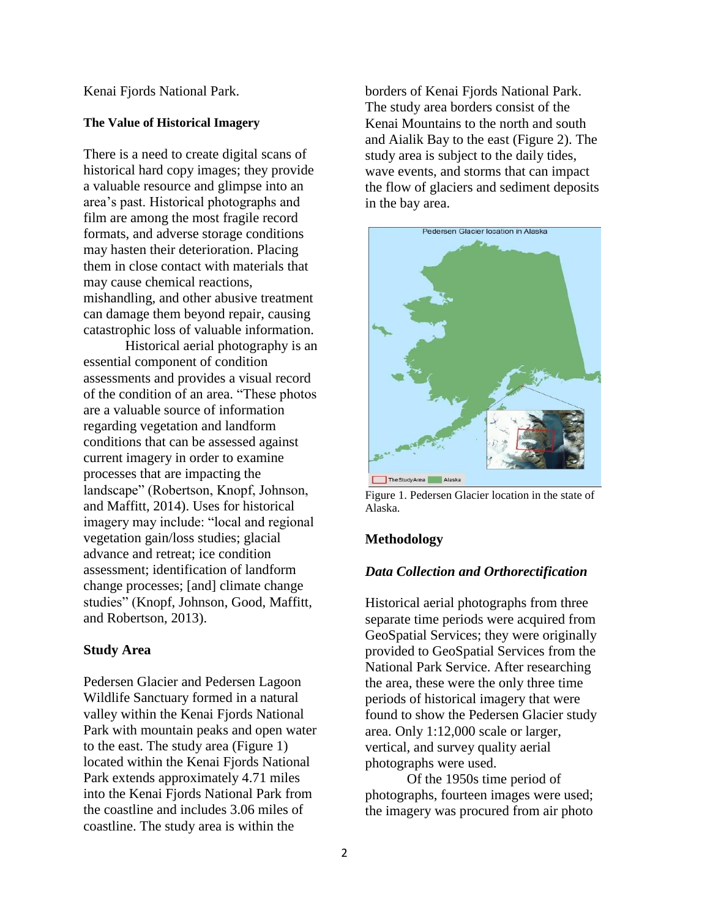Kenai Fjords National Park.

#### **The Value of Historical Imagery**

There is a need to create digital scans of historical hard copy images; they provide a valuable resource and glimpse into an area's past. Historical photographs and film are among the most fragile record formats, and adverse storage conditions may hasten their deterioration. Placing them in close contact with materials that may cause chemical reactions, mishandling, and other abusive treatment can damage them beyond repair, causing catastrophic loss of valuable information.

Historical aerial photography is an essential component of condition assessments and provides a visual record of the condition of an area. "These photos are a valuable source of information regarding vegetation and landform conditions that can be assessed against current imagery in order to examine processes that are impacting the landscape" (Robertson, Knopf, Johnson, and Maffitt, 2014). Uses for historical imagery may include: "local and regional vegetation gain/loss studies; glacial advance and retreat; ice condition assessment; identification of landform change processes; [and] climate change studies" (Knopf, Johnson, Good, Maffitt, and Robertson, 2013).

### **Study Area**

Pedersen Glacier and Pedersen Lagoon Wildlife Sanctuary formed in a natural valley within the Kenai Fjords National Park with mountain peaks and open water to the east. The study area (Figure 1) located within the Kenai Fjords National Park extends approximately 4.71 miles into the Kenai Fjords National Park from the coastline and includes 3.06 miles of coastline. The study area is within the

borders of Kenai Fjords National Park. The study area borders consist of the Kenai Mountains to the north and south and Aialik Bay to the east (Figure 2). The study area is subject to the daily tides, wave events, and storms that can impact the flow of glaciers and sediment deposits in the bay area.



Figure 1. Pedersen Glacier location in the state of Alaska.

## **Methodology**

### *Data Collection and Orthorectification*

Historical aerial photographs from three separate time periods were acquired from GeoSpatial Services; they were originally provided to GeoSpatial Services from the National Park Service. After researching the area, these were the only three time periods of historical imagery that were found to show the Pedersen Glacier study area. Only 1:12,000 scale or larger, vertical, and survey quality aerial photographs were used.

Of the 1950s time period of photographs, fourteen images were used; the imagery was procured from air photo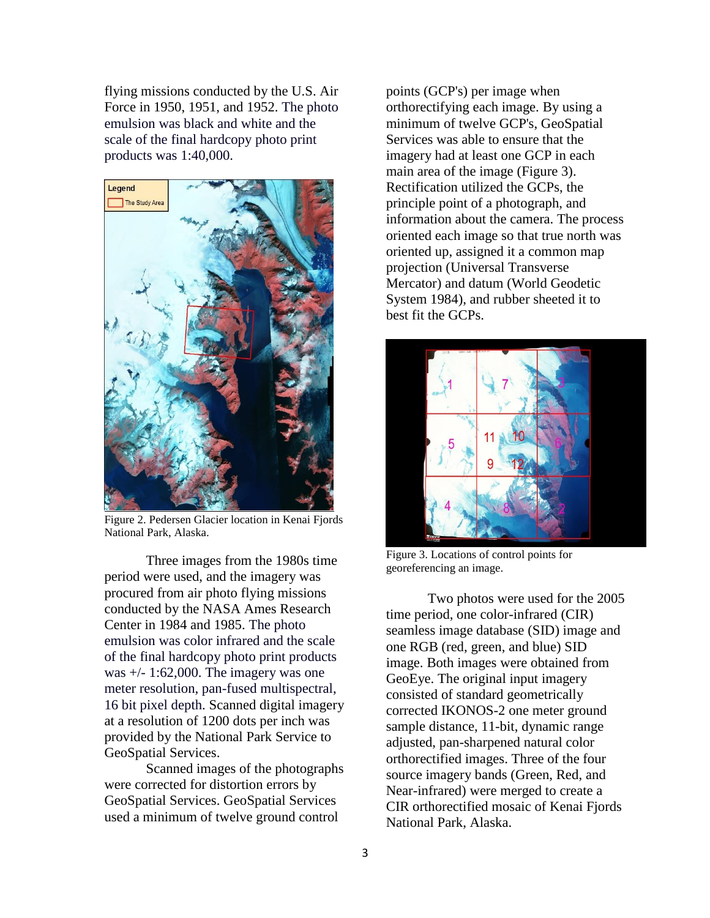flying missions conducted by the U.S. Air Force in 1950, 1951, and 1952. The photo emulsion was black and white and the scale of the final hardcopy photo print products was 1:40,000.



Figure 2. Pedersen Glacier location in Kenai Fjords National Park, Alaska.

Three images from the 1980s time period were used, and the imagery was procured from air photo flying missions conducted by the NASA Ames Research Center in 1984 and 1985. The photo emulsion was color infrared and the scale of the final hardcopy photo print products was  $+/- 1:62,000$ . The imagery was one meter resolution, pan-fused multispectral, 16 bit pixel depth. Scanned digital imagery at a resolution of 1200 dots per inch was provided by the National Park Service to GeoSpatial Services.

Scanned images of the photographs were corrected for distortion errors by GeoSpatial Services. GeoSpatial Services used a minimum of twelve ground control

points (GCP's) per image when orthorectifying each image. By using a minimum of twelve GCP's, GeoSpatial Services was able to ensure that the imagery had at least one GCP in each main area of the image (Figure 3). Rectification utilized the GCPs, the principle point of a photograph, and information about the camera. The process oriented each image so that true north was oriented up, assigned it a common map projection (Universal Transverse Mercator) and datum (World Geodetic System 1984), and rubber sheeted it to best fit the GCPs.



Figure 3. Locations of control points for georeferencing an image.

Two photos were used for the 2005 time period, one color-infrared (CIR) seamless image database (SID) image and one RGB (red, green, and blue) SID image. Both images were obtained from GeoEye. The original input imagery consisted of standard geometrically corrected IKONOS-2 one meter ground sample distance, 11-bit, dynamic range adjusted, pan-sharpened natural color orthorectified images. Three of the four source imagery bands (Green, Red, and Near-infrared) were merged to create a CIR orthorectified mosaic of Kenai Fjords National Park, Alaska.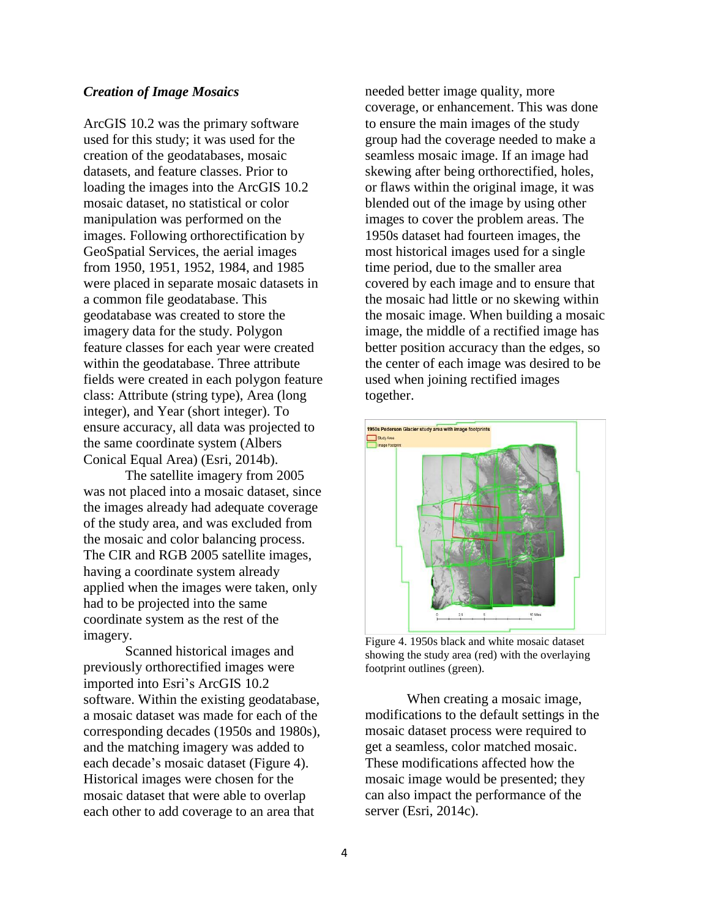## *Creation of Image Mosaics*

ArcGIS 10.2 was the primary software used for this study; it was used for the creation of the geodatabases, mosaic datasets, and feature classes. Prior to loading the images into the ArcGIS 10.2 mosaic dataset, no statistical or color manipulation was performed on the images. Following orthorectification by GeoSpatial Services, the aerial images from 1950, 1951, 1952, 1984, and 1985 were placed in separate mosaic datasets in a common file geodatabase. This geodatabase was created to store the imagery data for the study. Polygon feature classes for each year were created within the geodatabase. Three attribute fields were created in each polygon feature class: Attribute (string type), Area (long integer), and Year (short integer). To ensure accuracy, all data was projected to the same coordinate system (Albers Conical Equal Area) (Esri, 2014b).

The satellite imagery from 2005 was not placed into a mosaic dataset, since the images already had adequate coverage of the study area, and was excluded from the mosaic and color balancing process. The CIR and RGB 2005 satellite images, having a coordinate system already applied when the images were taken, only had to be projected into the same coordinate system as the rest of the imagery.

Scanned historical images and previously orthorectified images were imported into Esri's ArcGIS 10.2 software. Within the existing geodatabase, a mosaic dataset was made for each of the corresponding decades (1950s and 1980s), and the matching imagery was added to each decade's mosaic dataset (Figure 4). Historical images were chosen for the mosaic dataset that were able to overlap each other to add coverage to an area that

needed better image quality, more coverage, or enhancement. This was done to ensure the main images of the study group had the coverage needed to make a seamless mosaic image. If an image had skewing after being orthorectified, holes, or flaws within the original image, it was blended out of the image by using other images to cover the problem areas. The 1950s dataset had fourteen images, the most historical images used for a single time period, due to the smaller area covered by each image and to ensure that the mosaic had little or no skewing within the mosaic image. When building a mosaic image, the middle of a rectified image has better position accuracy than the edges, so the center of each image was desired to be used when joining rectified images together.



Figure 4. 1950s black and white mosaic dataset showing the study area (red) with the overlaying footprint outlines (green).

When creating a mosaic image, modifications to the default settings in the mosaic dataset process were required to get a seamless, color matched mosaic. These modifications affected how the mosaic image would be presented; they can also impact the performance of the server (Esri, 2014c).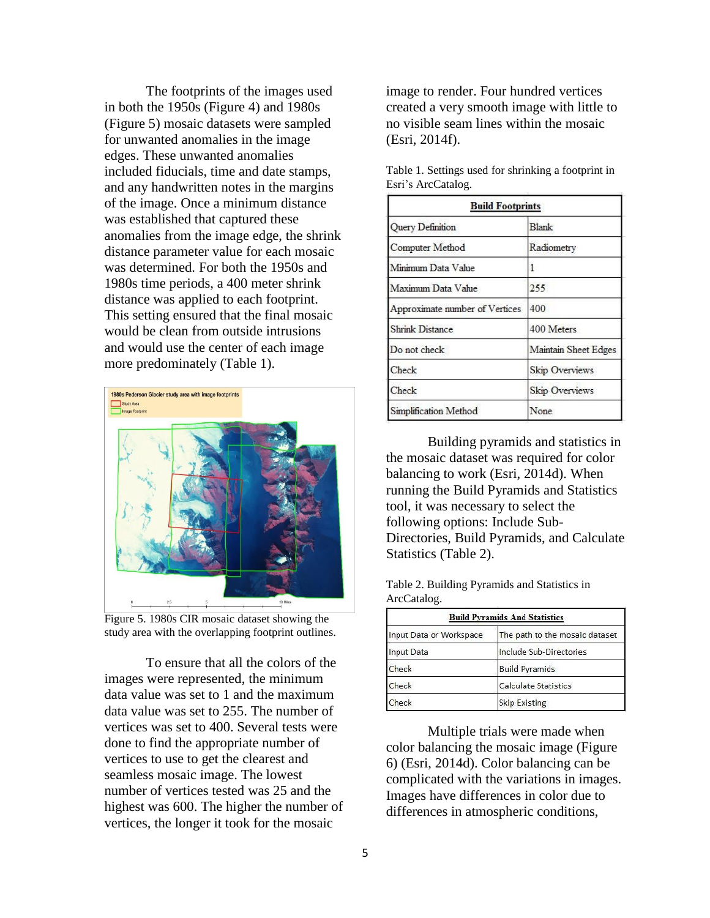The footprints of the images used in both the 1950s (Figure 4) and 1980s (Figure 5) mosaic datasets were sampled for unwanted anomalies in the image edges. These unwanted anomalies included fiducials, time and date stamps, and any handwritten notes in the margins of the image. Once a minimum distance was established that captured these anomalies from the image edge, the shrink distance parameter value for each mosaic was determined. For both the 1950s and 1980s time periods, a 400 meter shrink distance was applied to each footprint. This setting ensured that the final mosaic would be clean from outside intrusions and would use the center of each image more predominately (Table 1).



Figure 5. 1980s CIR mosaic dataset showing the study area with the overlapping footprint outlines.

To ensure that all the colors of the images were represented, the minimum data value was set to 1 and the maximum data value was set to 255. The number of vertices was set to 400. Several tests were done to find the appropriate number of vertices to use to get the clearest and seamless mosaic image. The lowest number of vertices tested was 25 and the highest was 600. The higher the number of vertices, the longer it took for the mosaic

image to render. Four hundred vertices created a very smooth image with little to no visible seam lines within the mosaic (Esri, 2014f).

| <b>Build Footprints</b>        |                      |  |
|--------------------------------|----------------------|--|
| Query Definition               | <b>Blank</b>         |  |
| Computer Method                | Radiometry           |  |
| Minimum Data Value             | ı                    |  |
| Maximum Data Value             | 255                  |  |
| Approximate number of Vertices | 400                  |  |
| <b>Shrink Distance</b>         | 400 Meters           |  |
| Do not check                   | Maintain Sheet Edges |  |
| Check                          | Skip Overviews       |  |
| Check                          | Skip Overviews       |  |
| Simplification Method          | None                 |  |

Table 1. Settings used for shrinking a footprint in Esri's ArcCatalog.

Building pyramids and statistics in the mosaic dataset was required for color balancing to work (Esri, 2014d). When running the Build Pyramids and Statistics tool, it was necessary to select the following options: Include Sub-Directories, Build Pyramids, and Calculate Statistics (Table 2).

| Table 2. Building Pyramids and Statistics in |  |  |  |
|----------------------------------------------|--|--|--|
| ArcCatalog.                                  |  |  |  |

| <b>Build Pyramids And Statistics</b> |                                                           |  |  |
|--------------------------------------|-----------------------------------------------------------|--|--|
| Input Data or Workspace              | The path to the mosaic dataset<br>Include Sub-Directories |  |  |
| Input Data                           |                                                           |  |  |
| Check                                | <b>Build Pyramids</b>                                     |  |  |
| Check                                | <b>Calculate Statistics</b>                               |  |  |
| heck                                 | <b>Skip Existing</b>                                      |  |  |

Multiple trials were made when color balancing the mosaic image (Figure 6) (Esri, 2014d). Color balancing can be complicated with the variations in images. Images have differences in color due to differences in atmospheric conditions,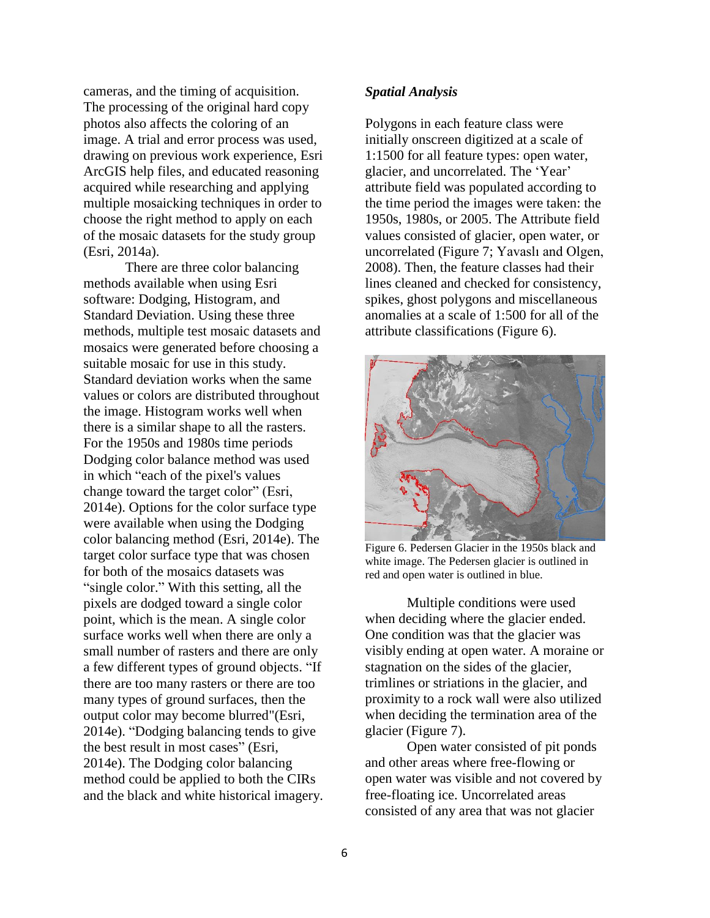cameras, and the timing of acquisition. The processing of the original hard copy photos also affects the coloring of an image. A trial and error process was used, drawing on previous work experience, Esri ArcGIS help files, and educated reasoning acquired while researching and applying multiple mosaicking techniques in order to choose the right method to apply on each of the mosaic datasets for the study group (Esri, 2014a).

There are three color balancing methods available when using Esri software: Dodging, Histogram, and Standard Deviation. Using these three methods, multiple test mosaic datasets and mosaics were generated before choosing a suitable mosaic for use in this study. Standard deviation works when the same values or colors are distributed throughout the image. Histogram works well when there is a similar shape to all the rasters. For the 1950s and 1980s time periods Dodging color balance method was used in which "each of the pixel's values change toward the target color" (Esri, 2014e). Options for the color surface type were available when using the Dodging color balancing method (Esri, 2014e). The target color surface type that was chosen for both of the mosaics datasets was "single color." With this setting, all the pixels are dodged toward a single color point, which is the mean. A single color surface works well when there are only a small number of rasters and there are only a few different types of ground objects. "If there are too many rasters or there are too many types of ground surfaces, then the output color may become blurred"(Esri, 2014e). "Dodging balancing tends to give the best result in most cases" (Esri, 2014e). The Dodging color balancing method could be applied to both the CIRs and the black and white historical imagery.

#### *Spatial Analysis*

Polygons in each feature class were initially onscreen digitized at a scale of 1:1500 for all feature types: open water, glacier, and uncorrelated. The 'Year' attribute field was populated according to the time period the images were taken: the 1950s, 1980s, or 2005. The Attribute field values consisted of glacier, open water, or uncorrelated (Figure 7; Yavaslı and Olgen, 2008). Then, the feature classes had their lines cleaned and checked for consistency, spikes, ghost polygons and miscellaneous anomalies at a scale of 1:500 for all of the attribute classifications (Figure 6).



Figure 6. Pedersen Glacier in the 1950s black and white image. The Pedersen glacier is outlined in red and open water is outlined in blue.

Multiple conditions were used when deciding where the glacier ended. One condition was that the glacier was visibly ending at open water. A moraine or stagnation on the sides of the glacier, trimlines or striations in the glacier, and proximity to a rock wall were also utilized when deciding the termination area of the glacier (Figure 7).

Open water consisted of pit ponds and other areas where free-flowing or open water was visible and not covered by free-floating ice. Uncorrelated areas consisted of any area that was not glacier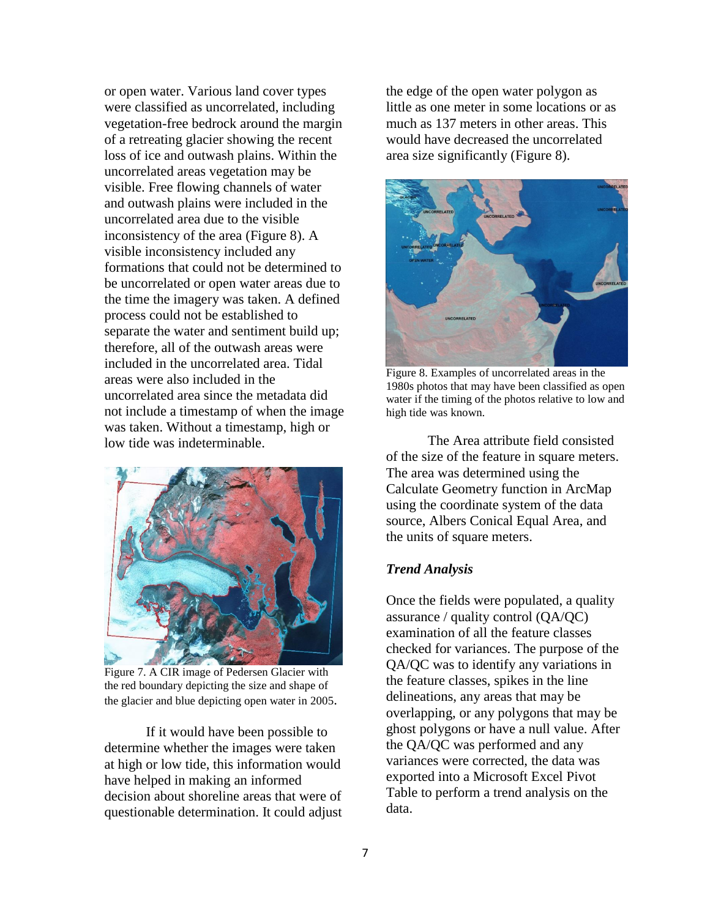or open water. Various land cover types were classified as uncorrelated, including vegetation-free bedrock around the margin of a retreating glacier showing the recent loss of ice and outwash plains. Within the uncorrelated areas vegetation may be visible. Free flowing channels of water and outwash plains were included in the uncorrelated area due to the visible inconsistency of the area (Figure 8). A visible inconsistency included any formations that could not be determined to be uncorrelated or open water areas due to the time the imagery was taken. A defined process could not be established to separate the water and sentiment build up; therefore, all of the outwash areas were included in the uncorrelated area. Tidal areas were also included in the uncorrelated area since the metadata did not include a timestamp of when the image was taken. Without a timestamp, high or low tide was indeterminable.



Figure 7. A CIR image of Pedersen Glacier with the red boundary depicting the size and shape of the glacier and blue depicting open water in 2005.

If it would have been possible to determine whether the images were taken at high or low tide, this information would have helped in making an informed decision about shoreline areas that were of questionable determination. It could adjust

the edge of the open water polygon as little as one meter in some locations or as much as 137 meters in other areas. This would have decreased the uncorrelated area size significantly (Figure 8).



Figure 8. Examples of uncorrelated areas in the 1980s photos that may have been classified as open water if the timing of the photos relative to low and high tide was known.

The Area attribute field consisted of the size of the feature in square meters. The area was determined using the Calculate Geometry function in ArcMap using the coordinate system of the data source, Albers Conical Equal Area, and the units of square meters.

### *Trend Analysis*

Once the fields were populated, a quality assurance / quality control (QA/QC) examination of all the feature classes checked for variances. The purpose of the QA/QC was to identify any variations in the feature classes, spikes in the line delineations, any areas that may be overlapping, or any polygons that may be ghost polygons or have a null value. After the QA/QC was performed and any variances were corrected, the data was exported into a Microsoft Excel Pivot Table to perform a trend analysis on the data.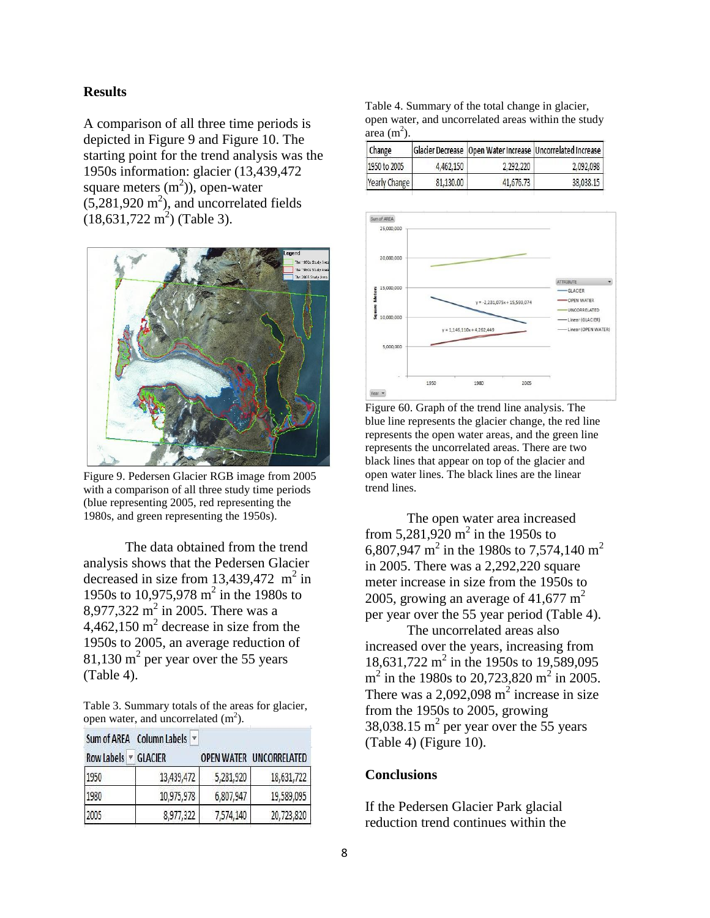## **Results**

A comparison of all three time periods is depicted in Figure 9 and Figure 10. The starting point for the trend analysis was the 1950s information: glacier (13,439,472 square meters  $(m^2)$ ), open-water  $(5,281,920 \text{ m}^2)$ , and uncorrelated fields  $(18, 631, 722 \text{ m}^2)$  (Table 3).



Figure 9. Pedersen Glacier RGB image from 2005 with a comparison of all three study time periods (blue representing 2005, red representing the 1980s, and green representing the 1950s).

The data obtained from the trend analysis shows that the Pedersen Glacier decreased in size from  $13,439,472$  m<sup>2</sup> in 1950s to 10,975,978 m 2 in the 1980s to 8,977,322 m<sup>2</sup> in 2005. There was a  $4,462,150 \text{ m}^2$  decrease in size from the 1950s to 2005, an average reduction of 81,130 m<sup>2</sup> per year over the 55 years (Table 4).

Table 3. Summary totals of the areas for glacier, open water, and uncorrelated  $(m^2)$ .

|  | Sum of AREA Column Labels ▼ |  |
|--|-----------------------------|--|
|--|-----------------------------|--|

| <b>Row Labels</b> | <b>GLACIER</b> |           | <b>OPEN WATER LINCORRELATED</b> |
|-------------------|----------------|-----------|---------------------------------|
| 1950              | 13,439,472     | 5,281,920 | 18,631,722                      |
| 1980              | 10,975,978     | 6,807,947 | 19,589,095                      |
| 2005              | 8,977,322      | 7,574,140 | 20,723,820                      |

Table 4. Summary of the total change in glacier, open water, and uncorrelated areas within the study  $area (m<sup>2</sup>)$ .

| Change        |           |           | Glacier Decrease   Open Water Increase   Uncorrelated Increase |
|---------------|-----------|-----------|----------------------------------------------------------------|
| 1950 to 2005  | 4,462,150 | 2,292,220 | 2,092,098                                                      |
| Yearly Change | 81,130,00 | 41,676.73 | 38,038,15                                                      |



Figure 60. Graph of the trend line analysis. The blue line represents the glacier change, the red line represents the open water areas, and the green line represents the uncorrelated areas. There are two black lines that appear on top of the glacier and open water lines. The black lines are the linear trend lines.

The open water area increased from  $5,281,920 \text{ m}^2$  in the 1950s to 6,807,947 m<sup>2</sup> in the 1980s to 7,574,140 m<sup>2</sup> in 2005. There was a 2,292,220 square meter increase in size from the 1950s to 2005, growing an average of 41,677  $m^2$ per year over the 55 year period (Table 4).

The uncorrelated areas also increased over the years, increasing from 18,631,722 m<sup>2</sup> in the 1950s to 19,589,095  $m^2$  in the 1980s to 20,723,820 m<sup>2</sup> in 2005. There was a 2,092,098  $m^2$  increase in size from the 1950s to 2005, growing 38,038.15  $m^2$  per year over the 55 years (Table 4) (Figure 10).

#### **Conclusions**

If the Pedersen Glacier Park glacial reduction trend continues within the